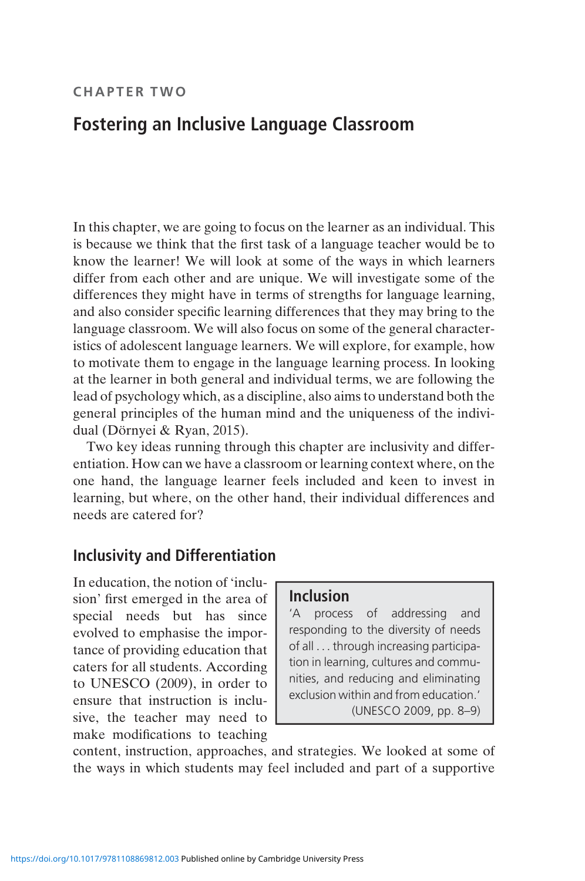#### CHAPTER TWO

# Fostering an Inclusive Language Classroom

In this chapter, we are going to focus on the learner as an individual. This is because we think that the first task of a language teacher would be to know the learner! We will look at some of the ways in which learners differ from each other and are unique. We will investigate some of the differences they might have in terms of strengths for language learning, and also consider specific learning differences that they may bring to the language classroom. We will also focus on some of the general characteristics of adolescent language learners. We will explore, for example, how to motivate them to engage in the language learning process. In looking at the learner in both general and individual terms, we are following the lead of psychology which, as a discipline, also aims to understand both the general principles of the human mind and the uniqueness of the individual (Dörnyei & Ryan, 2015).

Two key ideas running through this chapter are inclusivity and differentiation. How can we have a classroom or learning context where, on the one hand, the language learner feels included and keen to invest in learning, but where, on the other hand, their individual differences and needs are catered for?

### Inclusivity and Differentiation

In education, the notion of 'inclusion' first emerged in the area of special needs but has since evolved to emphasise the importance of providing education that caters for all students. According to UNESCO (2009), in order to ensure that instruction is inclusive, the teacher may need to make modifications to teaching

### Inclusion

'A process of addressing and responding to the diversity of needs of all ... through increasing participation in learning, cultures and communities, and reducing and eliminating exclusion within and from education.' (UNESCO 2009, pp. 8–9)

content, instruction, approaches, and strategies. We looked at some of the ways in which students may feel included and part of a supportive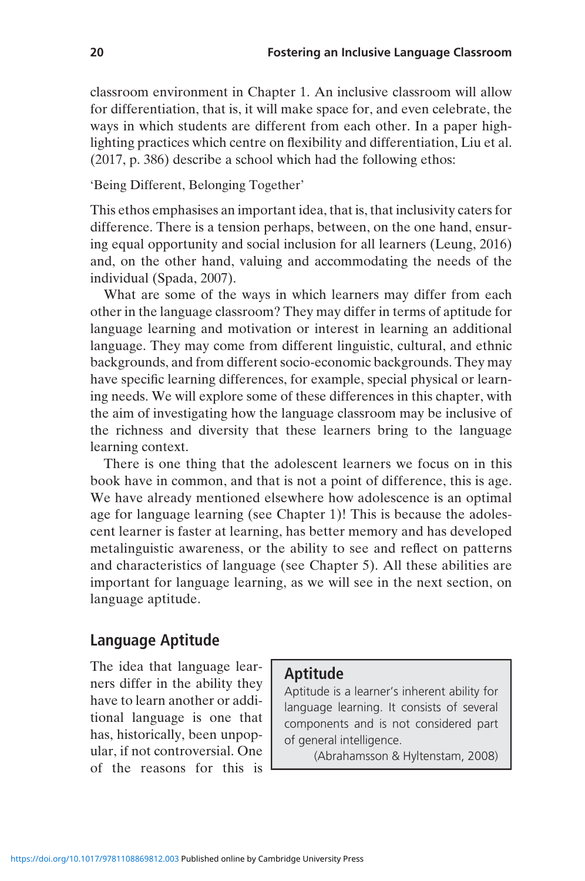classroom environment in Chapter 1. An inclusive classroom will allow for differentiation, that is, it will make space for, and even celebrate, the ways in which students are different from each other. In a paper highlighting practices which centre on flexibility and differentiation, Liu et al. (2017, p. 386) describe a school which had the following ethos:

#### 'Being Different, Belonging Together'

This ethos emphasises an important idea, that is, that inclusivity caters for difference. There is a tension perhaps, between, on the one hand, ensuring equal opportunity and social inclusion for all learners (Leung, 2016) and, on the other hand, valuing and accommodating the needs of the individual (Spada, 2007).

What are some of the ways in which learners may differ from each other in the language classroom? They may differ in terms of aptitude for language learning and motivation or interest in learning an additional language. They may come from different linguistic, cultural, and ethnic backgrounds, and from different socio-economic backgrounds. They may have specific learning differences, for example, special physical or learning needs. We will explore some of these differences in this chapter, with the aim of investigating how the language classroom may be inclusive of the richness and diversity that these learners bring to the language learning context.

There is one thing that the adolescent learners we focus on in this book have in common, and that is not a point of difference, this is age. We have already mentioned elsewhere how adolescence is an optimal age for language learning (see Chapter 1)! This is because the adolescent learner is faster at learning, has better memory and has developed metalinguistic awareness, or the ability to see and reflect on patterns and characteristics of language (see Chapter 5). All these abilities are important for language learning, as we will see in the next section, on language aptitude.

### Language Aptitude

The idea that language learners differ in the ability they have to learn another or additional language is one that has, historically, been unpopular, if not controversial. One of the reasons for this is

#### Aptitude

Aptitude is a learner's inherent ability for language learning. It consists of several components and is not considered part of general intelligence.

(Abrahamsson & Hyltenstam, 2008)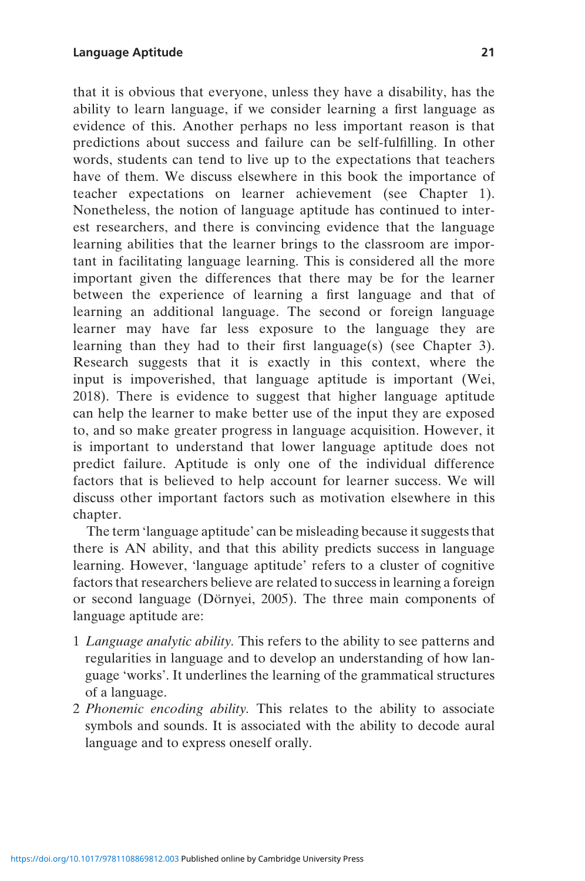that it is obvious that everyone, unless they have a disability, has the ability to learn language, if we consider learning a first language as evidence of this. Another perhaps no less important reason is that predictions about success and failure can be self-fulfilling. In other words, students can tend to live up to the expectations that teachers have of them. We discuss elsewhere in this book the importance of teacher expectations on learner achievement (see Chapter 1). Nonetheless, the notion of language aptitude has continued to interest researchers, and there is convincing evidence that the language learning abilities that the learner brings to the classroom are important in facilitating language learning. This is considered all the more important given the differences that there may be for the learner between the experience of learning a first language and that of learning an additional language. The second or foreign language learner may have far less exposure to the language they are learning than they had to their first language(s) (see Chapter 3). Research suggests that it is exactly in this context, where the input is impoverished, that language aptitude is important (Wei, 2018). There is evidence to suggest that higher language aptitude can help the learner to make better use of the input they are exposed to, and so make greater progress in language acquisition. However, it is important to understand that lower language aptitude does not predict failure. Aptitude is only one of the individual difference factors that is believed to help account for learner success. We will discuss other important factors such as motivation elsewhere in this chapter.

The term 'language aptitude' can be misleading because it suggests that there is AN ability, and that this ability predicts success in language learning. However, 'language aptitude' refers to a cluster of cognitive factors that researchers believe are related to success in learning a foreign or second language (Dörnyei, 2005). The three main components of language aptitude are:

- 1 Language analytic ability. This refers to the ability to see patterns and regularities in language and to develop an understanding of how language 'works'. It underlines the learning of the grammatical structures of a language.
- 2 Phonemic encoding ability. This relates to the ability to associate symbols and sounds. It is associated with the ability to decode aural language and to express oneself orally.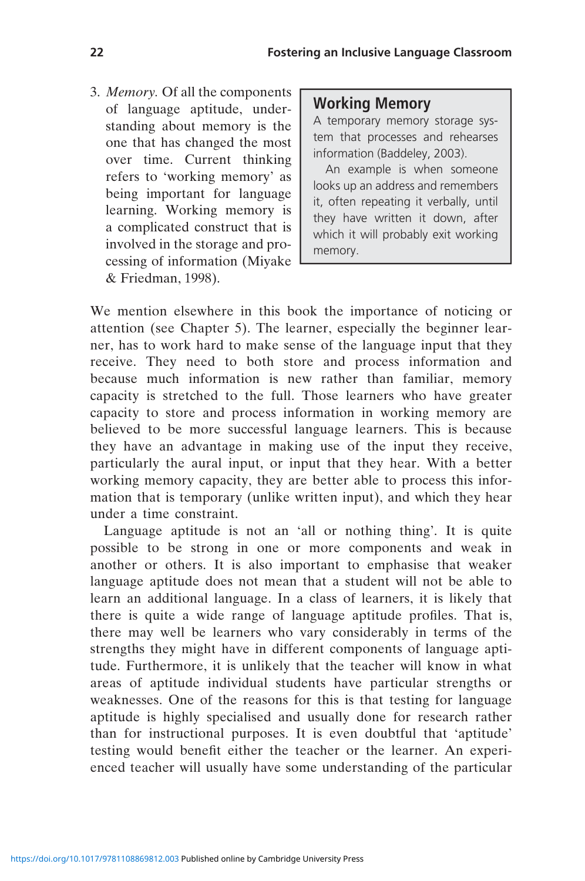3. Memory. Of all the components of language aptitude, understanding about memory is the one that has changed the most over time. Current thinking refers to 'working memory' as being important for language learning. Working memory is a complicated construct that is involved in the storage and processing of information (Miyake & Friedman, 1998).

#### Working Memory

A temporary memory storage system that processes and rehearses information (Baddeley, 2003).

An example is when someone looks up an address and remembers it, often repeating it verbally, until they have written it down, after which it will probably exit working memory.

We mention elsewhere in this book the importance of noticing or attention (see Chapter 5). The learner, especially the beginner learner, has to work hard to make sense of the language input that they receive. They need to both store and process information and because much information is new rather than familiar, memory capacity is stretched to the full. Those learners who have greater capacity to store and process information in working memory are believed to be more successful language learners. This is because they have an advantage in making use of the input they receive, particularly the aural input, or input that they hear. With a better working memory capacity, they are better able to process this information that is temporary (unlike written input), and which they hear under a time constraint.

Language aptitude is not an 'all or nothing thing'. It is quite possible to be strong in one or more components and weak in another or others. It is also important to emphasise that weaker language aptitude does not mean that a student will not be able to learn an additional language. In a class of learners, it is likely that there is quite a wide range of language aptitude profiles. That is, there may well be learners who vary considerably in terms of the strengths they might have in different components of language aptitude. Furthermore, it is unlikely that the teacher will know in what areas of aptitude individual students have particular strengths or weaknesses. One of the reasons for this is that testing for language aptitude is highly specialised and usually done for research rather than for instructional purposes. It is even doubtful that 'aptitude' testing would benefit either the teacher or the learner. An experienced teacher will usually have some understanding of the particular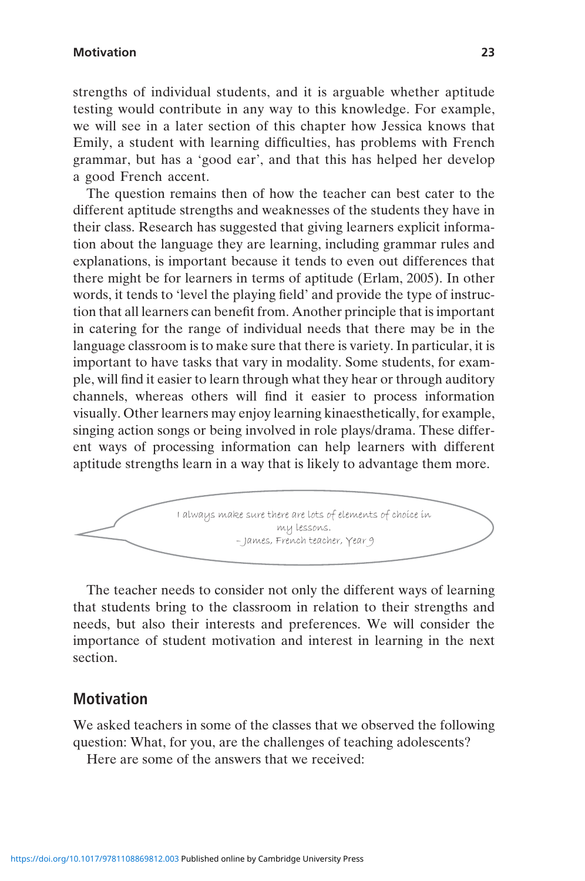#### Motivation 23

strengths of individual students, and it is arguable whether aptitude testing would contribute in any way to this knowledge. For example, we will see in a later section of this chapter how Jessica knows that Emily, a student with learning difficulties, has problems with French grammar, but has a 'good ear', and that this has helped her develop a good French accent.

The question remains then of how the teacher can best cater to the different aptitude strengths and weaknesses of the students they have in their class. Research has suggested that giving learners explicit information about the language they are learning, including grammar rules and explanations, is important because it tends to even out differences that there might be for learners in terms of aptitude (Erlam, 2005). In other words, it tends to 'level the playing field' and provide the type of instruction that all learners can benefit from. Another principle that is important in catering for the range of individual needs that there may be in the language classroom is to make sure that there is variety. In particular, it is important to have tasks that vary in modality. Some students, for example, will find it easier to learn through what they hear or through auditory channels, whereas others will find it easier to process information visually. Other learners may enjoy learning kinaesthetically, for example, singing action songs or being involved in role plays/drama. These different ways of processing information can help learners with different aptitude strengths learn in a way that is likely to advantage them more.



The teacher needs to consider not only the different ways of learning that students bring to the classroom in relation to their strengths and needs, but also their interests and preferences. We will consider the importance of student motivation and interest in learning in the next section.

### Motivation

We asked teachers in some of the classes that we observed the following question: What, for you, are the challenges of teaching adolescents?

Here are some of the answers that we received: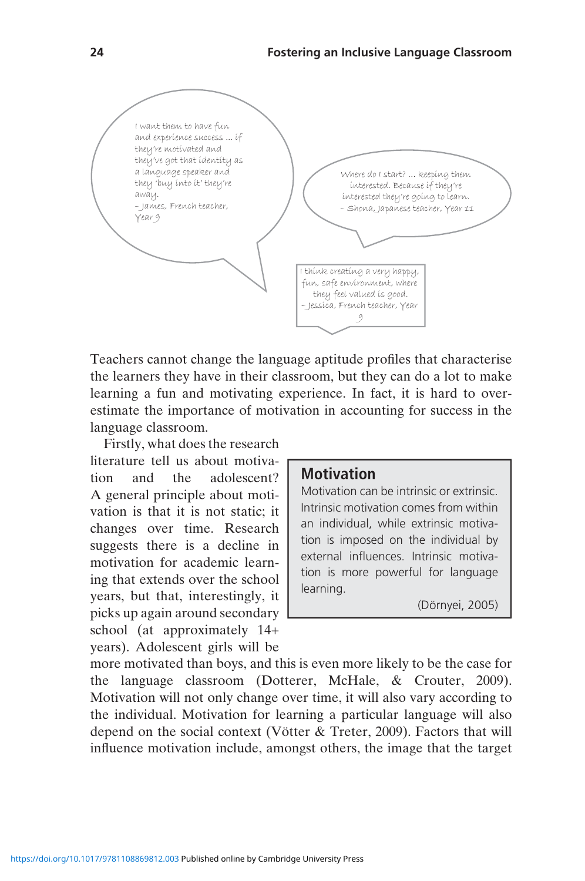

Teachers cannot change the language aptitude profiles that characterise the learners they have in their classroom, but they can do a lot to make learning a fun and motivating experience. In fact, it is hard to overestimate the importance of motivation in accounting for success in the language classroom.

Firstly, what does the research literature tell us about motivation and the adolescent? A general principle about motivation is that it is not static; it changes over time. Research suggests there is a decline in motivation for academic learning that extends over the school years, but that, interestingly, it picks up again around secondary school (at approximately 14+ years). Adolescent girls will be

#### **Motivation**

Motivation can be intrinsic or extrinsic. Intrinsic motivation comes from within an individual, while extrinsic motivation is imposed on the individual by external influences. Intrinsic motivation is more powerful for language learning.

(Dörnyei, 2005)

more motivated than boys, and this is even more likely to be the case for the language classroom (Dotterer, McHale, & Crouter, 2009). Motivation will not only change over time, it will also vary according to the individual. Motivation for learning a particular language will also depend on the social context (Vötter & Treter, 2009). Factors that will influence motivation include, amongst others, the image that the target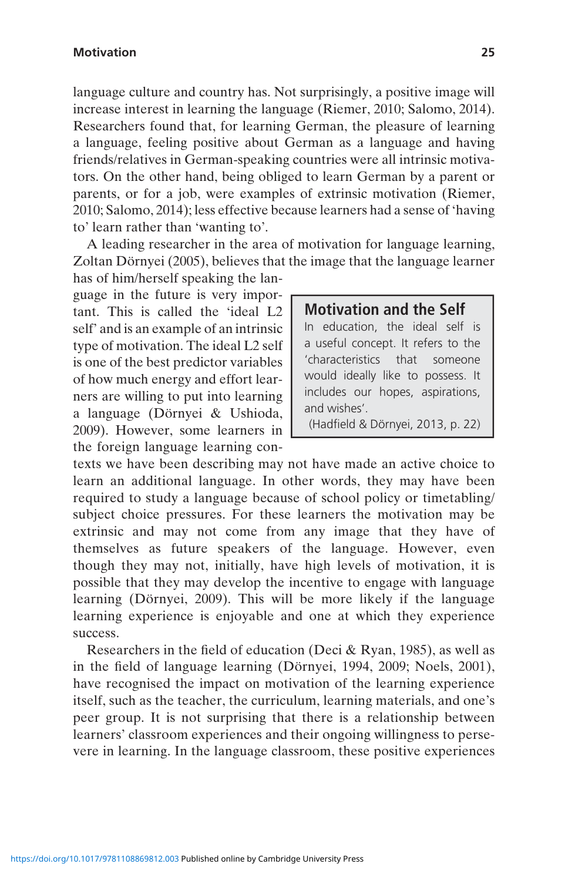language culture and country has. Not surprisingly, a positive image will increase interest in learning the language (Riemer, 2010; Salomo, 2014). Researchers found that, for learning German, the pleasure of learning a language, feeling positive about German as a language and having friends/relatives in German-speaking countries were all intrinsic motivators. On the other hand, being obliged to learn German by a parent or parents, or for a job, were examples of extrinsic motivation (Riemer, 2010; Salomo, 2014); less effective because learners had a sense of 'having to' learn rather than 'wanting to'.

A leading researcher in the area of motivation for language learning, Zoltan Dörnyei (2005), believes that the image that the language learner

has of him/herself speaking the language in the future is very important. This is called the 'ideal L2 self' and is an example of an intrinsic type of motivation. The ideal L2 self is one of the best predictor variables of how much energy and effort learners are willing to put into learning a language (Dörnyei & Ushioda, 2009). However, some learners in the foreign language learning con-

#### Motivation and the Self

In education, the ideal self is a useful concept. It refers to the 'characteristics that someone would ideally like to possess. It includes our hopes, aspirations, and wishes'.

(Hadfield & Dörnyei, 2013, p. 22)

texts we have been describing may not have made an active choice to learn an additional language. In other words, they may have been required to study a language because of school policy or timetabling/ subject choice pressures. For these learners the motivation may be extrinsic and may not come from any image that they have of themselves as future speakers of the language. However, even though they may not, initially, have high levels of motivation, it is possible that they may develop the incentive to engage with language learning (Dörnyei, 2009). This will be more likely if the language learning experience is enjoyable and one at which they experience success.

Researchers in the field of education (Deci & Ryan, 1985), as well as in the field of language learning (Dörnyei, 1994, 2009; Noels, 2001), have recognised the impact on motivation of the learning experience itself, such as the teacher, the curriculum, learning materials, and one's peer group. It is not surprising that there is a relationship between learners' classroom experiences and their ongoing willingness to persevere in learning. In the language classroom, these positive experiences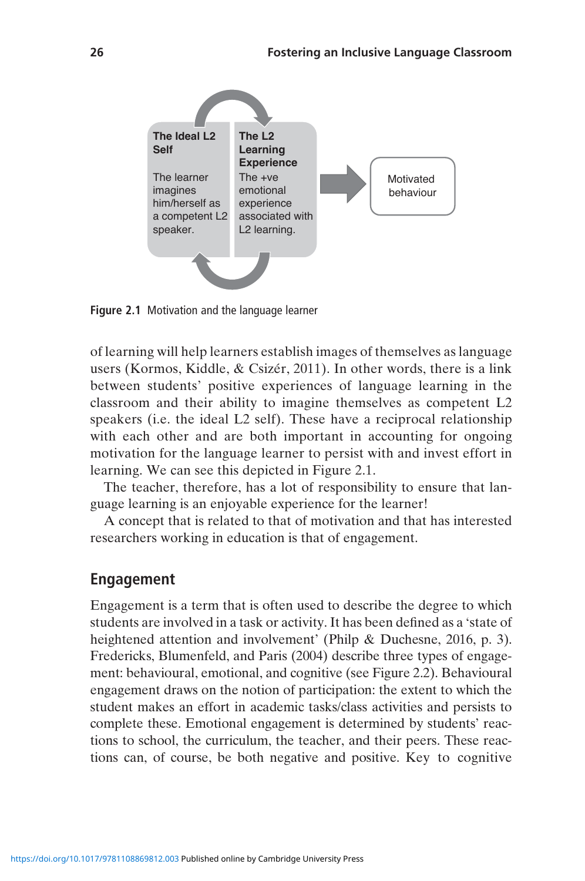

Figure 2.1 Motivation and the language learner

of learning will help learners establish images of themselves as language users (Kormos, Kiddle, & Csizér, 2011). In other words, there is a link between students' positive experiences of language learning in the classroom and their ability to imagine themselves as competent L2 speakers (i.e. the ideal L2 self). These have a reciprocal relationship with each other and are both important in accounting for ongoing motivation for the language learner to persist with and invest effort in learning. We can see this depicted in Figure 2.1.

The teacher, therefore, has a lot of responsibility to ensure that language learning is an enjoyable experience for the learner!

A concept that is related to that of motivation and that has interested researchers working in education is that of engagement.

#### Engagement

Engagement is a term that is often used to describe the degree to which students are involved in a task or activity. It has been defined as a 'state of heightened attention and involvement' (Philp & Duchesne, 2016, p. 3). Fredericks, Blumenfeld, and Paris (2004) describe three types of engagement: behavioural, emotional, and cognitive (see Figure 2.2). Behavioural engagement draws on the notion of participation: the extent to which the student makes an effort in academic tasks/class activities and persists to complete these. Emotional engagement is determined by students' reactions to school, the curriculum, the teacher, and their peers. These reactions can, of course, be both negative and positive. Key to cognitive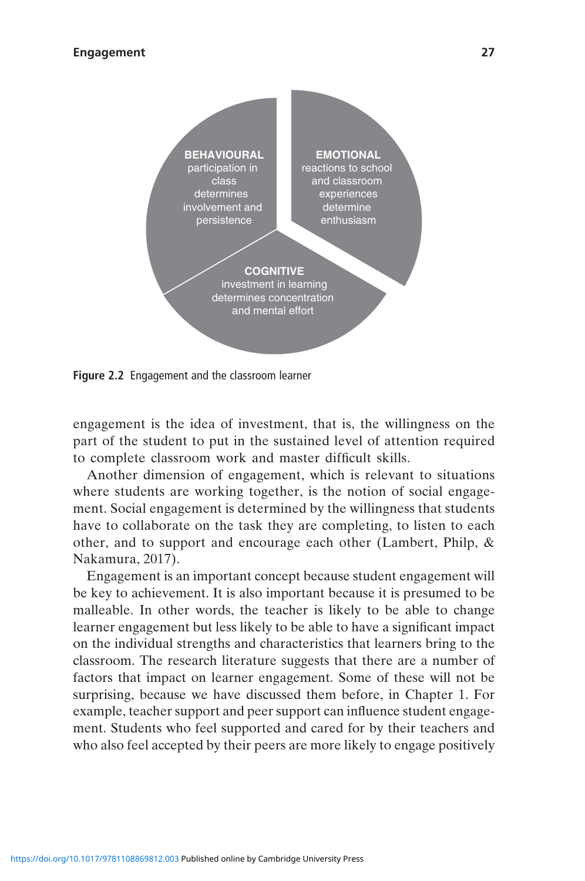

Figure 2.2 Engagement and the classroom learner

engagement is the idea of investment, that is, the willingness on the part of the student to put in the sustained level of attention required to complete classroom work and master difficult skills.

Another dimension of engagement, which is relevant to situations where students are working together, is the notion of social engagement. Social engagement is determined by the willingness that students have to collaborate on the task they are completing, to listen to each other, and to support and encourage each other (Lambert, Philp, & Nakamura, 2017).

Engagement is an important concept because student engagement will be key to achievement. It is also important because it is presumed to be malleable. In other words, the teacher is likely to be able to change learner engagement but less likely to be able to have a significant impact on the individual strengths and characteristics that learners bring to the classroom. The research literature suggests that there are a number of factors that impact on learner engagement. Some of these will not be surprising, because we have discussed them before, in Chapter 1. For example, teacher support and peer support can influence student engagement. Students who feel supported and cared for by their teachers and who also feel accepted by their peers are more likely to engage positively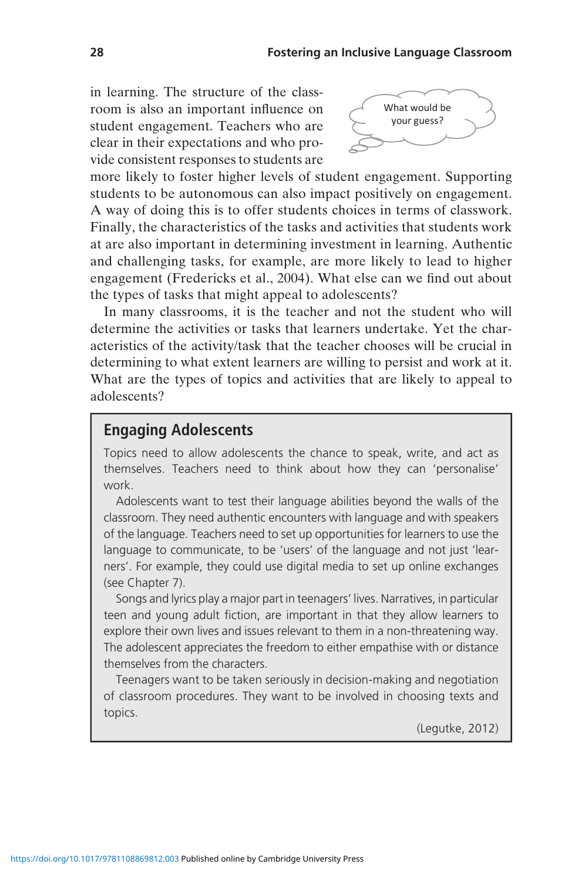in learning. The structure of the classroom is also an important influence on student engagement. Teachers who are clear in their expectations and who provide consistent responses to students are



more likely to foster higher levels of student engagement. Supporting students to be autonomous can also impact positively on engagement. A way of doing this is to offer students choices in terms of classwork. Finally, the characteristics of the tasks and activities that students work at are also important in determining investment in learning. Authentic and challenging tasks, for example, are more likely to lead to higher engagement (Fredericks et al., 2004). What else can we find out about the types of tasks that might appeal to adolescents?

In many classrooms, it is the teacher and not the student who will determine the activities or tasks that learners undertake. Yet the characteristics of the activity/task that the teacher chooses will be crucial in determining to what extent learners are willing to persist and work at it. What are the types of topics and activities that are likely to appeal to adolescents?

### Engaging Adolescents

Topics need to allow adolescents the chance to speak, write, and act as themselves. Teachers need to think about how they can 'personalise' work.

Adolescents want to test their language abilities beyond the walls of the classroom. They need authentic encounters with language and with speakers of the language. Teachers need to set up opportunities for learners to use the language to communicate, to be 'users' of the language and not just 'learners'. For example, they could use digital media to set up online exchanges (see Chapter 7).

Songs and lyrics play a major part in teenagers' lives. Narratives, in particular teen and young adult fiction, are important in that they allow learners to explore their own lives and issues relevant to them in a non-threatening way. The adolescent appreciates the freedom to either empathise with or distance themselves from the characters.

Teenagers want to be taken seriously in decision-making and negotiation of classroom procedures. They want to be involved in choosing texts and topics.

(Legutke, 2012)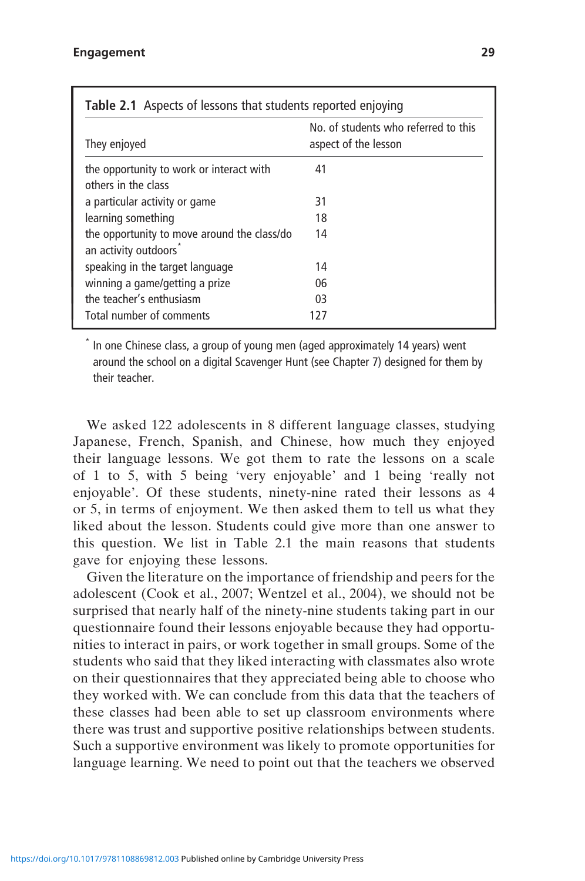| <b>Table 2.1</b> Aspects of lessons that students reported enjoying |                                                              |  |
|---------------------------------------------------------------------|--------------------------------------------------------------|--|
| They enjoyed                                                        | No. of students who referred to this<br>aspect of the lesson |  |
| the opportunity to work or interact with<br>others in the class     | 41                                                           |  |
| a particular activity or game                                       | 31                                                           |  |
| learning something                                                  | 18                                                           |  |
| the opportunity to move around the class/do<br>an activity outdoors | 14                                                           |  |
| speaking in the target language                                     | 14                                                           |  |
| winning a game/getting a prize                                      | 06                                                           |  |
| the teacher's enthusiasm                                            | 03                                                           |  |
| Total number of comments                                            | 127                                                          |  |

In one Chinese class, a group of young men (aged approximately 14 years) went around the school on a digital Scavenger Hunt (see Chapter 7) designed for them by their teacher.

We asked 122 adolescents in 8 different language classes, studying Japanese, French, Spanish, and Chinese, how much they enjoyed their language lessons. We got them to rate the lessons on a scale of 1 to 5, with 5 being 'very enjoyable' and 1 being 'really not enjoyable'. Of these students, ninety-nine rated their lessons as 4 or 5, in terms of enjoyment. We then asked them to tell us what they liked about the lesson. Students could give more than one answer to this question. We list in Table 2.1 the main reasons that students gave for enjoying these lessons.

Given the literature on the importance of friendship and peers for the adolescent (Cook et al., 2007; Wentzel et al., 2004), we should not be surprised that nearly half of the ninety-nine students taking part in our questionnaire found their lessons enjoyable because they had opportunities to interact in pairs, or work together in small groups. Some of the students who said that they liked interacting with classmates also wrote on their questionnaires that they appreciated being able to choose who they worked with. We can conclude from this data that the teachers of these classes had been able to set up classroom environments where there was trust and supportive positive relationships between students. Such a supportive environment was likely to promote opportunities for language learning. We need to point out that the teachers we observed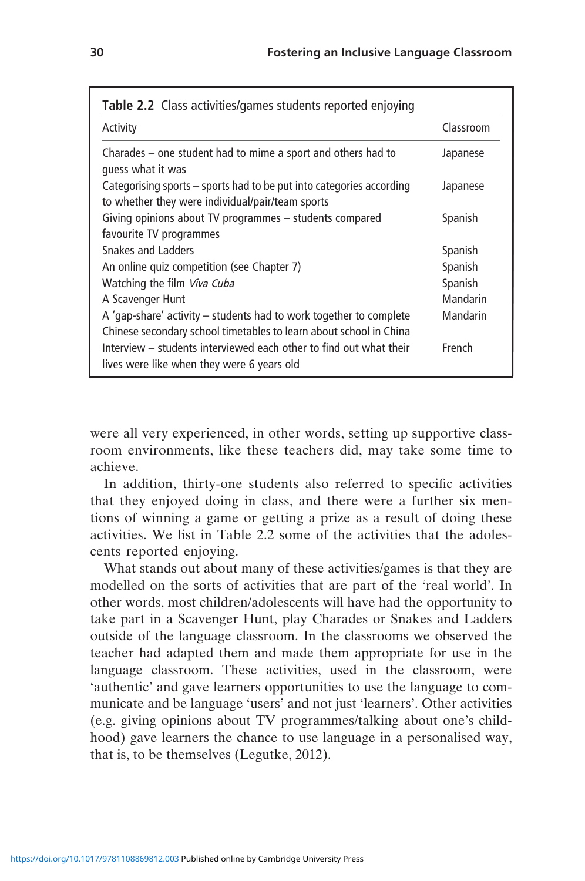| Table 2.2 Class activities/games students reported enjoying                                                                                |           |  |
|--------------------------------------------------------------------------------------------------------------------------------------------|-----------|--|
| Activity                                                                                                                                   | Classroom |  |
| Charades $-$ one student had to mime a sport and others had to<br>quess what it was                                                        | Japanese  |  |
| Categorising sports – sports had to be put into categories according<br>to whether they were individual/pair/team sports                   | Japanese  |  |
| Giving opinions about TV programmes - students compared<br>favourite TV programmes                                                         | Spanish   |  |
| Snakes and Ladders                                                                                                                         | Spanish   |  |
| An online quiz competition (see Chapter 7)                                                                                                 | Spanish   |  |
| Watching the film Viva Cuba                                                                                                                | Spanish   |  |
| A Scavenger Hunt                                                                                                                           | Mandarin  |  |
| A 'gap-share' activity $-$ students had to work together to complete<br>Chinese secondary school timetables to learn about school in China | Mandarin  |  |
| Interview – students interviewed each other to find out what their<br>lives were like when they were 6 years old                           | French    |  |

were all very experienced, in other words, setting up supportive classroom environments, like these teachers did, may take some time to achieve.

In addition, thirty-one students also referred to specific activities that they enjoyed doing in class, and there were a further six mentions of winning a game or getting a prize as a result of doing these activities. We list in Table 2.2 some of the activities that the adolescents reported enjoying.

What stands out about many of these activities/games is that they are modelled on the sorts of activities that are part of the 'real world'. In other words, most children/adolescents will have had the opportunity to take part in a Scavenger Hunt, play Charades or Snakes and Ladders outside of the language classroom. In the classrooms we observed the teacher had adapted them and made them appropriate for use in the language classroom. These activities, used in the classroom, were 'authentic' and gave learners opportunities to use the language to communicate and be language 'users' and not just 'learners'. Other activities (e.g. giving opinions about TV programmes/talking about one's childhood) gave learners the chance to use language in a personalised way, that is, to be themselves (Legutke, 2012).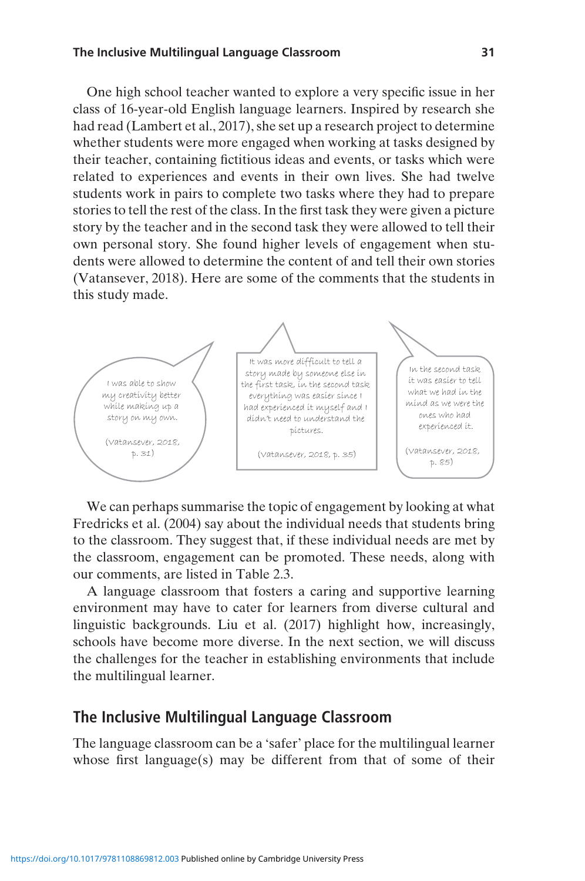#### The Inclusive Multilingual Language Classroom 31

One high school teacher wanted to explore a very specific issue in her class of 16-year-old English language learners. Inspired by research she had read (Lambert et al., 2017), she set up a research project to determine whether students were more engaged when working at tasks designed by their teacher, containing fictitious ideas and events, or tasks which were related to experiences and events in their own lives. She had twelve students work in pairs to complete two tasks where they had to prepare stories to tell the rest of the class. In the first task they were given a picture story by the teacher and in the second task they were allowed to tell their own personal story. She found higher levels of engagement when students were allowed to determine the content of and tell their own stories (Vatansever, 2018). Here are some of the comments that the students in this study made.



We can perhaps summarise the topic of engagement by looking at what Fredricks et al. (2004) say about the individual needs that students bring to the classroom. They suggest that, if these individual needs are met by the classroom, engagement can be promoted. These needs, along with our comments, are listed in Table 2.3.

A language classroom that fosters a caring and supportive learning environment may have to cater for learners from diverse cultural and linguistic backgrounds. Liu et al. (2017) highlight how, increasingly, schools have become more diverse. In the next section, we will discuss the challenges for the teacher in establishing environments that include the multilingual learner.

#### The Inclusive Multilingual Language Classroom

The language classroom can be a 'safer' place for the multilingual learner whose first language(s) may be different from that of some of their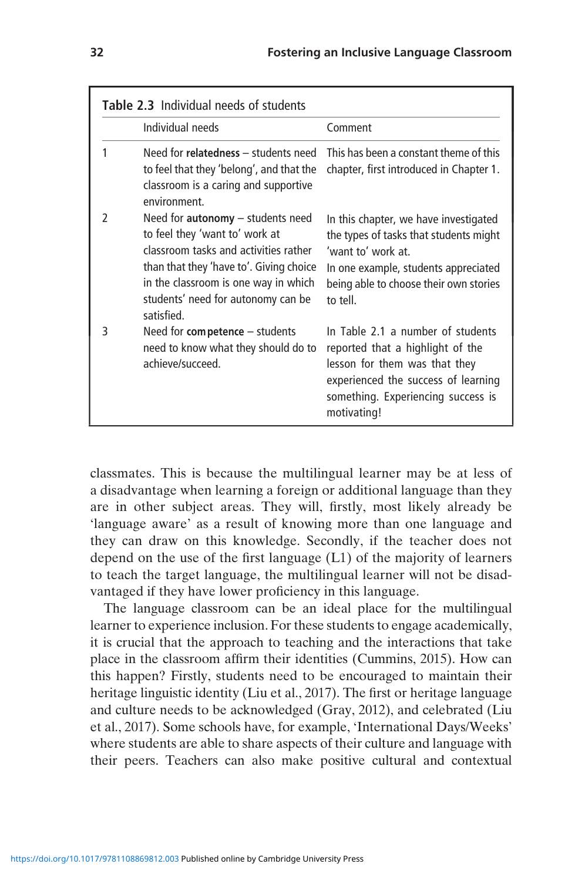| <b>Table 2.3</b> Individual needs of students |                                                                                                                                                                                                                                                       |                                                                                                                                                                                                     |
|-----------------------------------------------|-------------------------------------------------------------------------------------------------------------------------------------------------------------------------------------------------------------------------------------------------------|-----------------------------------------------------------------------------------------------------------------------------------------------------------------------------------------------------|
|                                               | Individual needs                                                                                                                                                                                                                                      | Comment                                                                                                                                                                                             |
| 1                                             | Need for relatedness - students need<br>to feel that they 'belong', and that the<br>classroom is a caring and supportive<br>environment                                                                                                               | This has been a constant theme of this<br>chapter, first introduced in Chapter 1.                                                                                                                   |
| $\mathfrak z$                                 | Need for $autonomy - students need$<br>to feel they 'want to' work at<br>classroom tasks and activities rather<br>than that they 'have to'. Giving choice<br>in the classroom is one way in which<br>students' need for autonomy can be<br>satisfied. | In this chapter, we have investigated<br>the types of tasks that students might<br>'want to' work at.<br>In one example, students appreciated<br>being able to choose their own stories<br>to tell. |
| 3                                             | Need for competence - students<br>need to know what they should do to<br>achieve/succeed.                                                                                                                                                             | In Table 2.1 a number of students<br>reported that a highlight of the<br>lesson for them was that they<br>experienced the success of learning<br>something. Experiencing success is<br>motivating!  |

classmates. This is because the multilingual learner may be at less of a disadvantage when learning a foreign or additional language than they are in other subject areas. They will, firstly, most likely already be 'language aware' as a result of knowing more than one language and they can draw on this knowledge. Secondly, if the teacher does not depend on the use of the first language (L1) of the majority of learners to teach the target language, the multilingual learner will not be disadvantaged if they have lower proficiency in this language.

The language classroom can be an ideal place for the multilingual learner to experience inclusion. For these students to engage academically, it is crucial that the approach to teaching and the interactions that take place in the classroom affirm their identities (Cummins, 2015). How can this happen? Firstly, students need to be encouraged to maintain their heritage linguistic identity (Liu et al., 2017). The first or heritage language and culture needs to be acknowledged (Gray, 2012), and celebrated (Liu et al., 2017). Some schools have, for example, 'International Days/Weeks' where students are able to share aspects of their culture and language with their peers. Teachers can also make positive cultural and contextual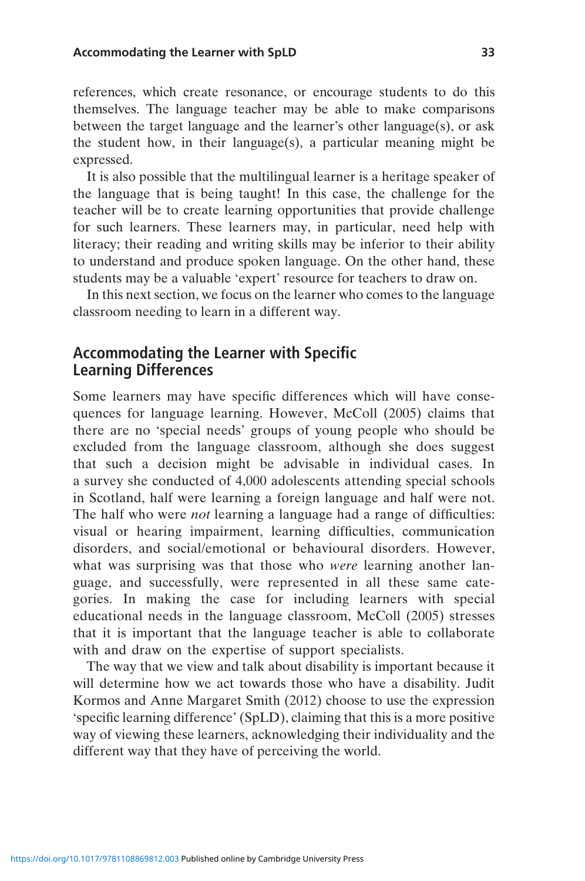references, which create resonance, or encourage students to do this themselves. The language teacher may be able to make comparisons between the target language and the learner's other language(s), or ask the student how, in their language(s), a particular meaning might be expressed.

It is also possible that the multilingual learner is a heritage speaker of the language that is being taught! In this case, the challenge for the teacher will be to create learning opportunities that provide challenge for such learners. These learners may, in particular, need help with literacy; their reading and writing skills may be inferior to their ability to understand and produce spoken language. On the other hand, these students may be a valuable 'expert' resource for teachers to draw on.

In this next section, we focus on the learner who comes to the language classroom needing to learn in a different way.

### Accommodating the Learner with Specific Learning Differences

Some learners may have specific differences which will have consequences for language learning. However, McColl (2005) claims that there are no 'special needs' groups of young people who should be excluded from the language classroom, although she does suggest that such a decision might be advisable in individual cases. In a survey she conducted of 4,000 adolescents attending special schools in Scotland, half were learning a foreign language and half were not. The half who were *not* learning a language had a range of difficulties: visual or hearing impairment, learning difficulties, communication disorders, and social/emotional or behavioural disorders. However, what was surprising was that those who *were* learning another language, and successfully, were represented in all these same categories. In making the case for including learners with special educational needs in the language classroom, McColl (2005) stresses that it is important that the language teacher is able to collaborate with and draw on the expertise of support specialists.

The way that we view and talk about disability is important because it will determine how we act towards those who have a disability. Judit Kormos and Anne Margaret Smith (2012) choose to use the expression 'specific learning difference' (SpLD), claiming that this is a more positive way of viewing these learners, acknowledging their individuality and the different way that they have of perceiving the world.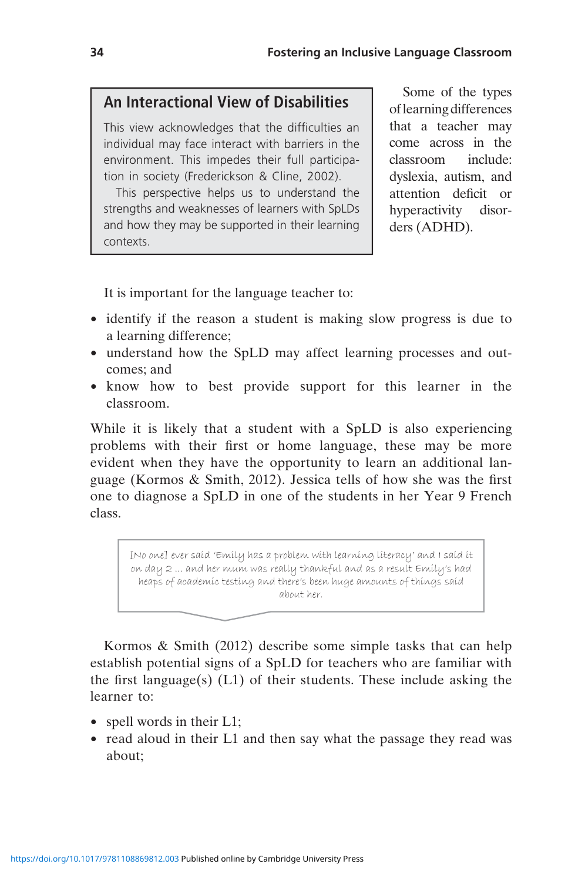## An Interactional View of Disabilities

This view acknowledges that the difficulties an individual may face interact with barriers in the environment. This impedes their full participation in society (Frederickson & Cline, 2002).

This perspective helps us to understand the strengths and weaknesses of learners with SpLDs and how they may be supported in their learning contexts.

Some of the types oflearning differences that a teacher may come across in the classroom include: dyslexia, autism, and attention deficit or hyperactivity disorders (ADHD).

It is important for the language teacher to:

- identify if the reason a student is making slow progress is due to a learning difference;
- understand how the SpLD may affect learning processes and outcomes; and
- know how to best provide support for this learner in the classroom.

While it is likely that a student with a SpLD is also experiencing problems with their first or home language, these may be more evident when they have the opportunity to learn an additional language (Kormos & Smith, 2012). Jessica tells of how she was the first one to diagnose a SpLD in one of the students in her Year 9 French class.

[No one] ever said 'Emily has a problem with learning literacy' and I said it on day 2 ... and her mum was really thankful and as a result Emily's had heaps of academic testing and there's been huge amounts of things said about her.

Kormos & Smith (2012) describe some simple tasks that can help establish potential signs of a SpLD for teachers who are familiar with the first language(s)  $(L1)$  of their students. These include asking the learner to:

- spell words in their L1;
- read aloud in their L1 and then say what the passage they read was about;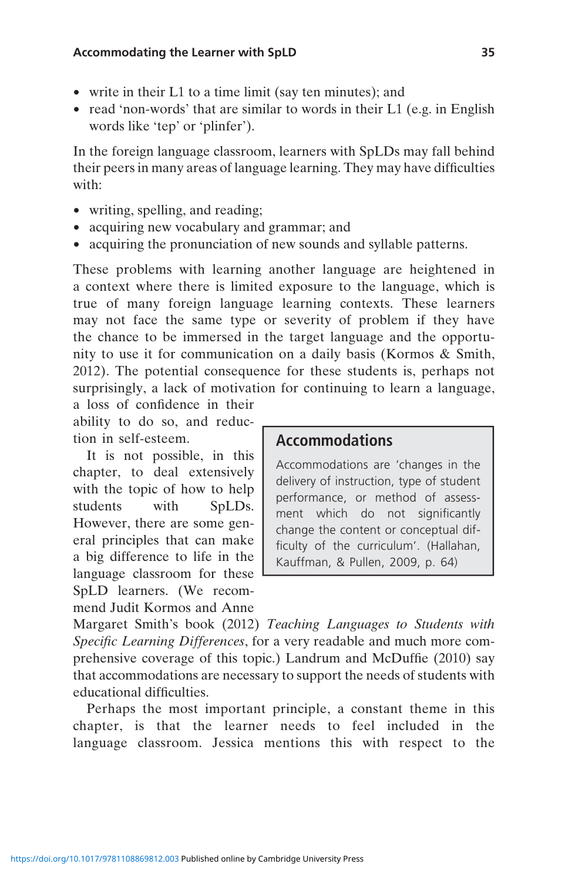- write in their L1 to a time limit (say ten minutes); and
- read 'non-words' that are similar to words in their L1 (e.g. in English words like 'tep' or 'plinfer').

In the foreign language classroom, learners with SpLDs may fall behind their peers in many areas of language learning. They may have difficulties with:

- writing, spelling, and reading;
- acquiring new vocabulary and grammar; and
- acquiring the pronunciation of new sounds and syllable patterns.

These problems with learning another language are heightened in a context where there is limited exposure to the language, which is true of many foreign language learning contexts. These learners may not face the same type or severity of problem if they have the chance to be immersed in the target language and the opportunity to use it for communication on a daily basis (Kormos & Smith, 2012). The potential consequence for these students is, perhaps not surprisingly, a lack of motivation for continuing to learn a language,

a loss of confidence in their ability to do so, and reduction in self-esteem.

It is not possible, in this chapter, to deal extensively with the topic of how to help students with SpLDs. However, there are some general principles that can make a big difference to life in the language classroom for these SpLD learners. (We recommend Judit Kormos and Anne

### Accommodations

Accommodations are 'changes in the delivery of instruction, type of student performance, or method of assessment which do not significantly change the content or conceptual difficulty of the curriculum'. (Hallahan, Kauffman, & Pullen, 2009, p. 64)

Margaret Smith's book (2012) Teaching Languages to Students with Specific Learning Differences, for a very readable and much more comprehensive coverage of this topic.) Landrum and McDuffie (2010) say that accommodations are necessary to support the needs of students with educational difficulties.

Perhaps the most important principle, a constant theme in this chapter, is that the learner needs to feel included in the language classroom. Jessica mentions this with respect to the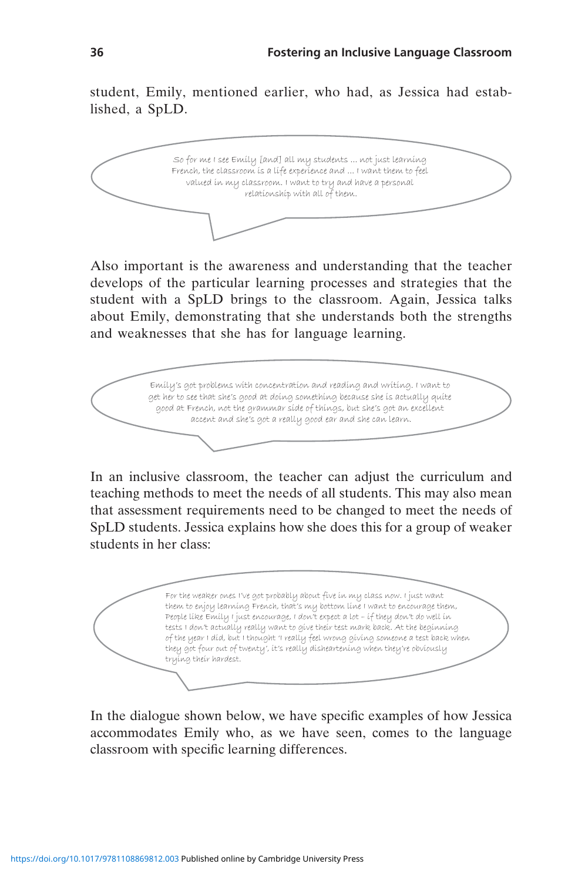student, Emily, mentioned earlier, who had, as Jessica had established, a SpLD.



Also important is the awareness and understanding that the teacher develops of the particular learning processes and strategies that the student with a SpLD brings to the classroom. Again, Jessica talks about Emily, demonstrating that she understands both the strengths and weaknesses that she has for language learning.



In an inclusive classroom, the teacher can adjust the curriculum and teaching methods to meet the needs of all students. This may also mean that assessment requirements need to be changed to meet the needs of SpLD students. Jessica explains how she does this for a group of weaker students in her class:

For the weaker ones I've got probably about five in my class now. I just want them to enjoy learning French, that's my bottom line I want to encourage them, People like Emily I just encourage, I don't expect a lot – if they don't do well in tests I don't actually really want to give their test mark back. At the beginning of the year I did, but I thought 'I really feel wrong giving someone a test back when they got four out of twenty', it's really disheartening when they're obviously trying their hardest.

In the dialogue shown below, we have specific examples of how Jessica accommodates Emily who, as we have seen, comes to the language classroom with specific learning differences.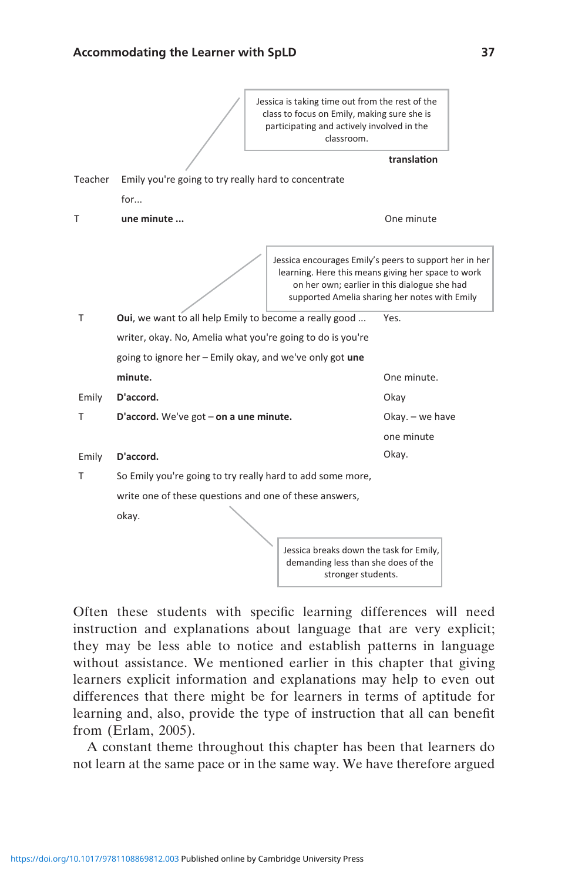

Often these students with specific learning differences will need instruction and explanations about language that are very explicit; they may be less able to notice and establish patterns in language without assistance. We mentioned earlier in this chapter that giving learners explicit information and explanations may help to even out differences that there might be for learners in terms of aptitude for learning and, also, provide the type of instruction that all can benefit from (Erlam, 2005).

A constant theme throughout this chapter has been that learners do not learn at the same pace or in the same way. We have therefore argued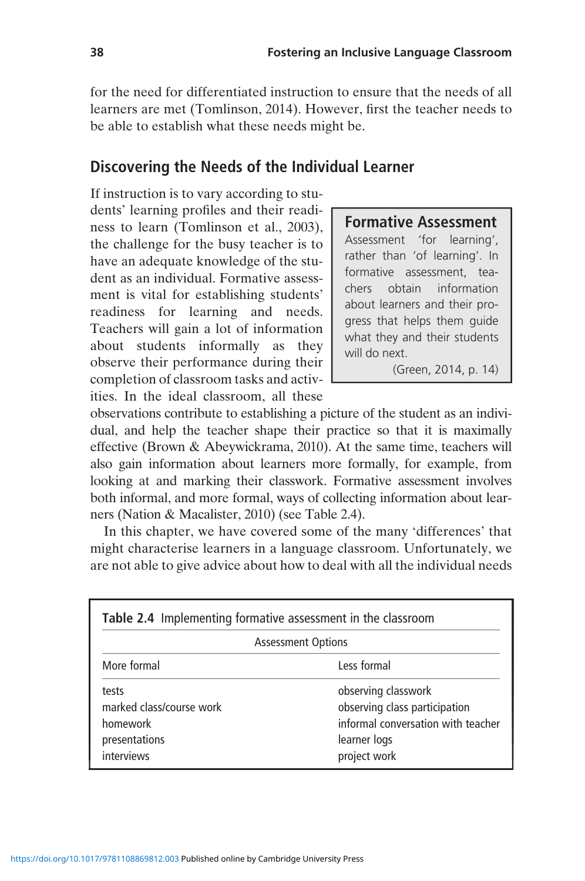for the need for differentiated instruction to ensure that the needs of all learners are met (Tomlinson, 2014). However, first the teacher needs to be able to establish what these needs might be.

### Discovering the Needs of the Individual Learner

If instruction is to vary according to students' learning profiles and their readiness to learn (Tomlinson et al., 2003), the challenge for the busy teacher is to have an adequate knowledge of the student as an individual. Formative assessment is vital for establishing students' readiness for learning and needs. Teachers will gain a lot of information about students informally as they observe their performance during their completion of classroom tasks and activities. In the ideal classroom, all these

### Formative Assessment

Assessment 'for learning', rather than 'of learning'. In formative assessment, teachers obtain information about learners and their progress that helps them guide what they and their students will do next.

(Green, 2014, p. 14)

observations contribute to establishing a picture of the student as an individual, and help the teacher shape their practice so that it is maximally effective (Brown & Abeywickrama, 2010). At the same time, teachers will also gain information about learners more formally, for example, from looking at and marking their classwork. Formative assessment involves both informal, and more formal, ways of collecting information about learners (Nation & Macalister, 2010) (see Table 2.4).

In this chapter, we have covered some of the many 'differences' that might characterise learners in a language classroom. Unfortunately, we are not able to give advice about how to deal with all the individual needs

| Table 2.4 Implementing formative assessment in the classroom                 |                                                                                                                            |  |
|------------------------------------------------------------------------------|----------------------------------------------------------------------------------------------------------------------------|--|
| <b>Assessment Options</b>                                                    |                                                                                                                            |  |
| More formal                                                                  | Less formal                                                                                                                |  |
| tests<br>marked class/course work<br>homework<br>presentations<br>interviews | observing classwork<br>observing class participation<br>informal conversation with teacher<br>learner logs<br>project work |  |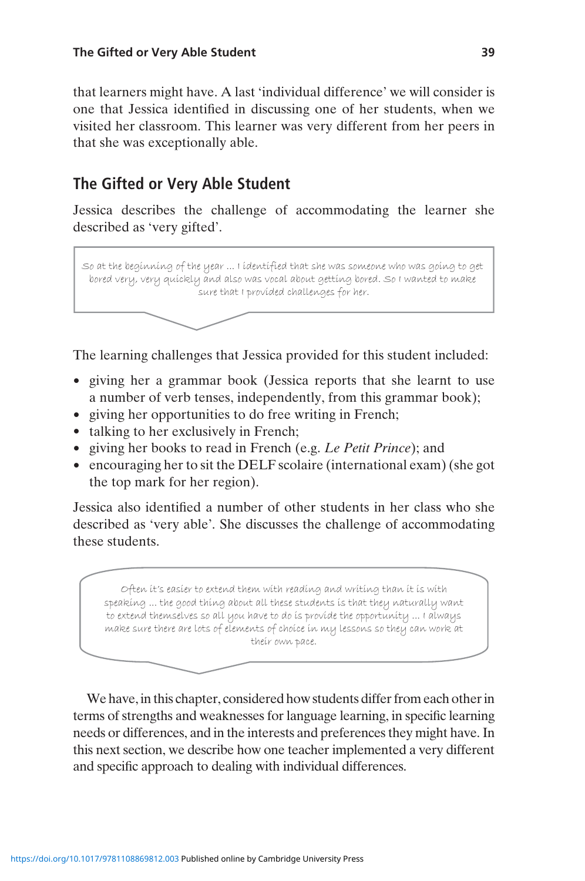that learners might have. A last 'individual difference' we will consider is one that Jessica identified in discussing one of her students, when we visited her classroom. This learner was very different from her peers in that she was exceptionally able.

## The Gifted or Very Able Student

Jessica describes the challenge of accommodating the learner she described as 'very gifted'.

So at the beginning of the year ... I identified that she was someone who was going to get bored very, very quickly and also was vocal about getting bored. So I wanted to make sure that I provided challenges for her.

The learning challenges that Jessica provided for this student included:

- giving her a grammar book (Jessica reports that she learnt to use a number of verb tenses, independently, from this grammar book);
- giving her opportunities to do free writing in French;
- talking to her exclusively in French;
- giving her books to read in French (e.g. Le Petit Prince); and
- encouraging her to sit the DELF scolaire (international exam) (she got the top mark for her region).

Jessica also identified a number of other students in her class who she described as 'very able'. She discusses the challenge of accommodating these students.

Often it's easier to extend them with reading and writing than it is with speaking ... the good thing about all these students is that they naturally want to extend themselves so all you have to do is provide the opportunity ... I always make sure there are lots of elements of choice in my lessons so they can work at their own pace.

We have, in this chapter, considered how students differ from each other in terms of strengths and weaknesses for language learning, in specific learning needs or differences, and in the interests and preferences they might have. In this next section, we describe how one teacher implemented a very different and specific approach to dealing with individual differences.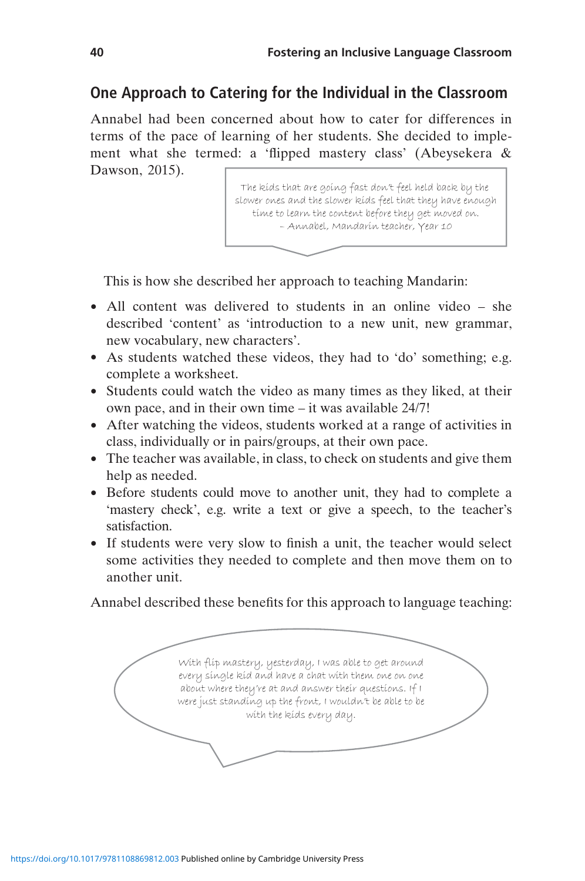### One Approach to Catering for the Individual in the Classroom

Annabel had been concerned about how to cater for differences in terms of the pace of learning of her students. She decided to implement what she termed: a 'flipped mastery class' (Abeysekera & Dawson, 2015).

> The kids that are going fast don't feel held back by the slower ones and the slower kids feel that they have enough time to learn the content before they get moved on. – Annabel, Mandarin teacher, Year 10

This is how she described her approach to teaching Mandarin:

- All content was delivered to students in an online video she described 'content' as 'introduction to a new unit, new grammar, new vocabulary, new characters'.
- As students watched these videos, they had to 'do' something; e.g. complete a worksheet.
- Students could watch the video as many times as they liked, at their own pace, and in their own time – it was available 24/7!
- After watching the videos, students worked at a range of activities in class, individually or in pairs/groups, at their own pace.
- The teacher was available, in class, to check on students and give them help as needed.
- Before students could move to another unit, they had to complete a 'mastery check', e.g. write a text or give a speech, to the teacher's satisfaction.
- If students were very slow to finish a unit, the teacher would select some activities they needed to complete and then move them on to another unit.

Annabel described these benefits for this approach to language teaching:

With flip mastery, yesterday, I was able to get around every single kid and have a chat with them one on one about where they're at and answer their questions. If I were just standing up the front, I wouldn't be able to be with the kids every day.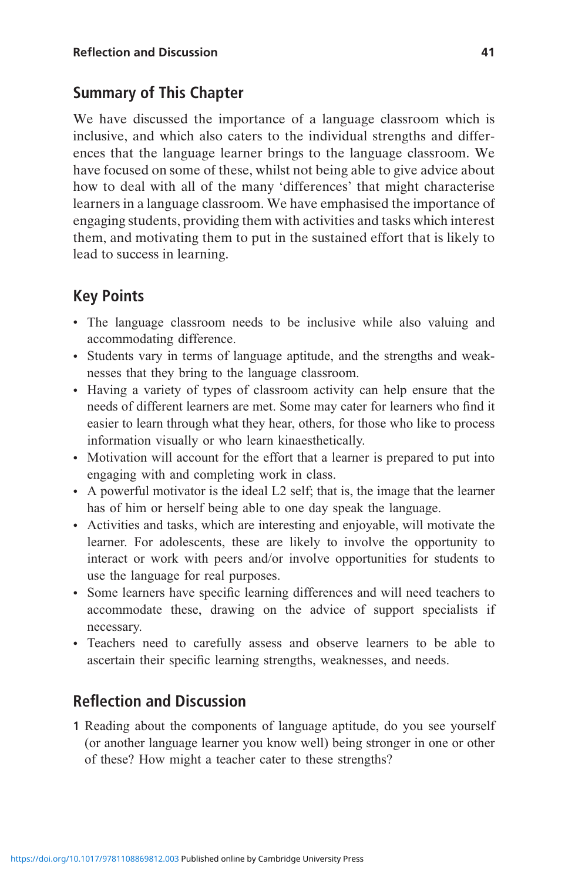## Summary of This Chapter

We have discussed the importance of a language classroom which is inclusive, and which also caters to the individual strengths and differences that the language learner brings to the language classroom. We have focused on some of these, whilst not being able to give advice about how to deal with all of the many 'differences' that might characterise learners in a language classroom. We have emphasised the importance of engaging students, providing them with activities and tasks which interest them, and motivating them to put in the sustained effort that is likely to lead to success in learning.

## Key Points

- The language classroom needs to be inclusive while also valuing and accommodating difference.
- Students vary in terms of language aptitude, and the strengths and weaknesses that they bring to the language classroom.
- Having a variety of types of classroom activity can help ensure that the needs of different learners are met. Some may cater for learners who find it easier to learn through what they hear, others, for those who like to process information visually or who learn kinaesthetically.
- Motivation will account for the effort that a learner is prepared to put into engaging with and completing work in class.
- A powerful motivator is the ideal L2 self; that is, the image that the learner has of him or herself being able to one day speak the language.
- Activities and tasks, which are interesting and enjoyable, will motivate the learner. For adolescents, these are likely to involve the opportunity to interact or work with peers and/or involve opportunities for students to use the language for real purposes.
- Some learners have specific learning differences and will need teachers to accommodate these, drawing on the advice of support specialists if necessary.
- Teachers need to carefully assess and observe learners to be able to ascertain their specific learning strengths, weaknesses, and needs.

## Reflection and Discussion

1 Reading about the components of language aptitude, do you see yourself (or another language learner you know well) being stronger in one or other of these? How might a teacher cater to these strengths?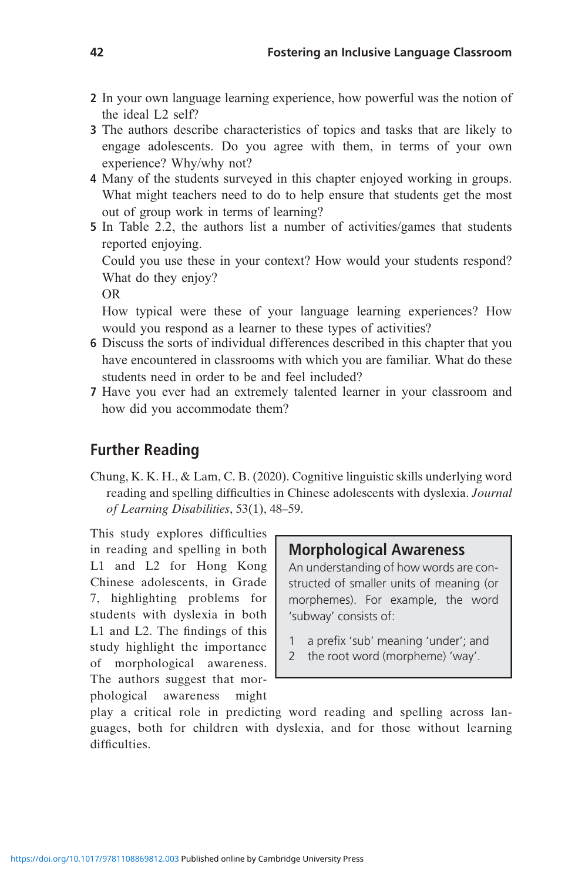- 2 In your own language learning experience, how powerful was the notion of the ideal L2 self?
- 3 The authors describe characteristics of topics and tasks that are likely to engage adolescents. Do you agree with them, in terms of your own experience? Why/why not?
- 4 Many of the students surveyed in this chapter enjoyed working in groups. What might teachers need to do to help ensure that students get the most out of group work in terms of learning?
- 5 In Table 2.2, the authors list a number of activities/games that students reported enjoying.

Could you use these in your context? How would your students respond? What do they enjoy?

OR

How typical were these of your language learning experiences? How would you respond as a learner to these types of activities?

- 6 Discuss the sorts of individual differences described in this chapter that you have encountered in classrooms with which you are familiar. What do these students need in order to be and feel included?
- 7 Have you ever had an extremely talented learner in your classroom and how did you accommodate them?

### Further Reading

Chung, K. K. H., & Lam, C. B. (2020). Cognitive linguistic skills underlying word reading and spelling difficulties in Chinese adolescents with dyslexia. Journal of Learning Disabilities, 53(1), 48–59.

This study explores difficulties in reading and spelling in both L1 and L2 for Hong Kong Chinese adolescents, in Grade 7, highlighting problems for students with dyslexia in both L1 and L2. The findings of this study highlight the importance of morphological awareness. The authors suggest that morphological awareness might

### Morphological Awareness

An understanding of how words are constructed of smaller units of meaning (or morphemes). For example, the word 'subway' consists of:

- 1 a prefix 'sub' meaning 'under'; and
- 2 the root word (morpheme) 'way'.

play a critical role in predicting word reading and spelling across languages, both for children with dyslexia, and for those without learning difficulties.